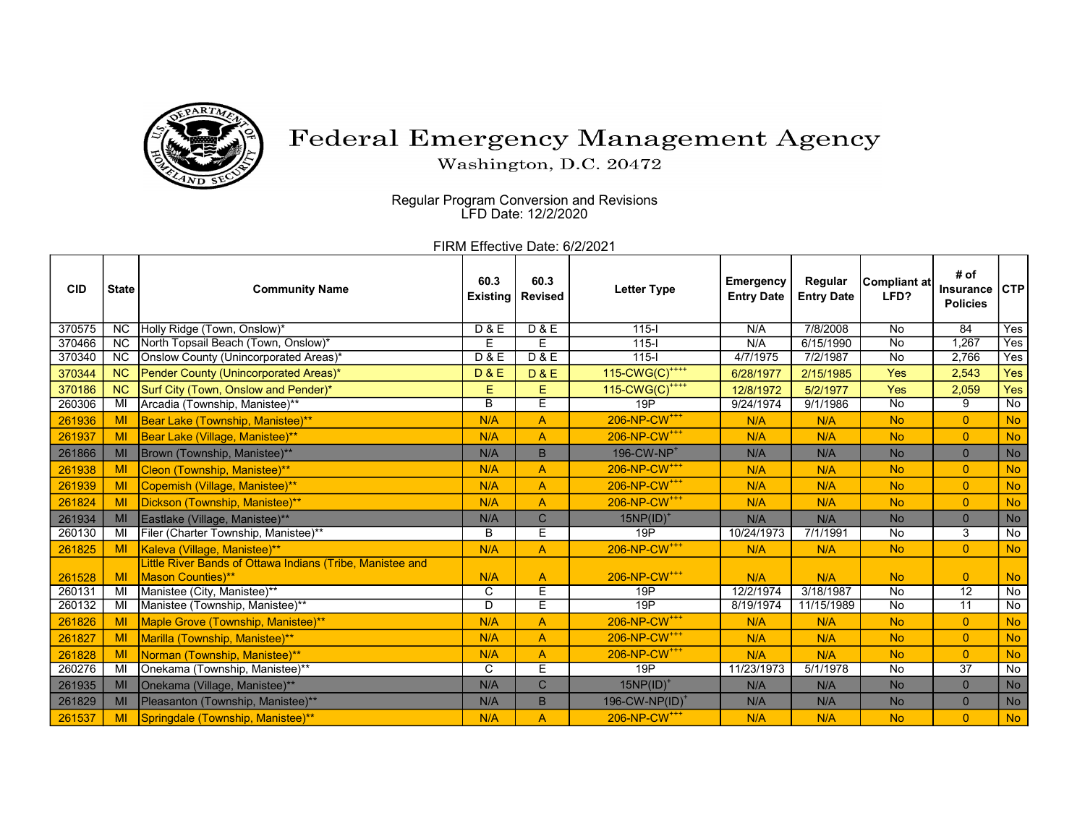

## Federal Emergency Management Agency

Washington, D.C. 20472

 Regular Program Conversion and Revisions LFD Date: 12/2/2020

FIRM Effective Date: 6/2/2021

| <b>CID</b> | <b>State</b>    | <b>Community Name</b>                                     | 60.3<br><b>Existing</b> | 60.3<br><b>Revised</b> | <b>Letter Type</b>            | Emergency<br><b>Entry Date</b> | Regular<br><b>Entry Date</b> | Compliant at<br>LFD? | # of<br><b>Insurance</b><br><b>Policies</b> | <b>CTP</b>         |
|------------|-----------------|-----------------------------------------------------------|-------------------------|------------------------|-------------------------------|--------------------------------|------------------------------|----------------------|---------------------------------------------|--------------------|
| 370575     | <b>NC</b>       | Holly Ridge (Town, Onslow)*                               | <b>D&amp;E</b>          | D & E                  | $115 -$                       | N/A                            | 7/8/2008                     | <b>No</b>            | 84                                          | <b>Yes</b>         |
| 370466     | $\overline{NC}$ | North Topsail Beach (Town, Onslow)*                       | Е                       | E                      | $115 -$                       | N/A                            | 6/15/1990                    | <b>No</b>            | 1,267                                       | Yes                |
| 370340     | <b>NC</b>       | Onslow County (Unincorporated Areas)*                     | D & E                   | D & E                  | $115 -$                       | 4/7/1975                       | 7/2/1987                     | <b>No</b>            | 2,766                                       | Yes                |
| 370344     | <b>NC</b>       | Pender County (Unincorporated Areas)*                     | <b>D&amp;E</b>          | <b>D&amp;E</b>         | 115-CWG(C) <sup>****</sup>    | 6/28/1977                      | 2/15/1985                    | <b>Yes</b>           | 2,543                                       | Yes                |
| 370186     | <b>NC</b>       | Surf City (Town, Onslow and Pender)*                      | Ε                       | Е                      | $115$ -CWG(C) <sup>++++</sup> | 12/8/1972                      | 5/2/1977                     | <b>Yes</b>           | 2,059                                       | Yes                |
| 260306     | MI              | Arcadia (Township, Manistee)**                            | B                       | E                      | 19P                           | 9/24/1974                      | 9/1/1986                     | No                   | 9                                           | $\overline{N}$     |
| 261936     | MI              | Bear Lake (Township, Manistee)**                          | N/A                     | A                      | 206-NP-CW <sup>+++</sup>      | N/A                            | N/A                          | <b>No</b>            | $\overline{0}$                              | <b>No</b>          |
| 261937     | MI              | Bear Lake (Village, Manistee)**                           | N/A                     | A                      | 206-NP-CW <sup>+++</sup>      | N/A                            | N/A                          | <b>No</b>            | $\overline{0}$                              | <b>No</b>          |
| 261866     | MI              | Brown (Township, Manistee)**                              | N/A                     | B                      | 196-CW-NP <sup>+</sup>        | N/A                            | N/A                          | <b>No</b>            | $\overline{0}$                              | <b>No</b>          |
| 261938     | MI              | Cleon (Township, Manistee)**                              | N/A                     | $\overline{A}$         | 206-NP-CW <sup>+++</sup>      | N/A                            | N/A                          | <b>No</b>            | $\overline{0}$                              | <b>No</b>          |
| 261939     | MI              | Copemish (Village, Manistee)**                            | N/A                     | A                      | 206-NP-CW <sup>+++</sup>      | N/A                            | N/A                          | <b>No</b>            | $\overline{0}$                              | <b>No</b>          |
| 261824     | MI              | Dickson (Township, Manistee)**                            | N/A                     | A                      | 206-NP-CW <sup>+++</sup>      | N/A                            | N/A                          | <b>No</b>            | $\overline{0}$                              | <b>No</b>          |
| 261934     | MI              | Eastlake (Village, Manistee)**                            | N/A                     | $\mathsf{C}$           | $15NP(ID)^+$                  | N/A                            | N/A                          | <b>No</b>            | $\mathbf{0}$                                | No                 |
| 260130     | MI              | Filer (Charter Township, Manistee)**                      | B                       | Ē                      | 19P                           | 10/24/1973                     | 7/1/1991                     | <b>No</b>            | $\overline{3}$                              | $\overline{N}$     |
| 261825     | MI              | Kaleva (Village, Manistee)**                              | N/A                     | A                      | 206-NP-CW <sup>+++</sup>      | N/A                            | N/A                          | <b>No</b>            | $\overline{0}$                              | <b>No</b>          |
|            |                 | Little River Bands of Ottawa Indians (Tribe, Manistee and |                         |                        |                               |                                |                              |                      |                                             |                    |
| 261528     | MI              | <b>Mason Counties)**</b>                                  | N/A                     | A                      | 206-NP-CW <sup>+++</sup>      | N/A                            | N/A                          | <b>No</b>            | $\overline{0}$                              | <b>No</b>          |
| 260131     | MI              | Manistee (City, Manistee)**                               | C                       | E                      | 19P                           | 12/2/1974                      | 3/18/1987                    | <b>No</b>            | $\overline{12}$                             | No                 |
| 260132     | MI              | Manistee (Township, Manistee)**                           | $\overline{D}$          | Έ                      | 19P                           | 8/19/1974                      | 11/15/1989                   | No                   | $\overline{11}$                             | $\overline{N_{0}}$ |
| 261826     | MI              | Maple Grove (Township, Manistee)**                        | N/A                     | A                      | 206-NP-CW <sup>+++</sup>      | N/A                            | N/A                          | <b>No</b>            | $\overline{0}$                              | <b>No</b>          |
| 261827     | MI              | Marilla (Township, Manistee)**                            | N/A                     | $\overline{A}$         | 206-NP-CW <sup>+++</sup>      | N/A                            | N/A                          | <b>No</b>            | $\overline{0}$                              | <b>No</b>          |
| 261828     | MI              | Norman (Township, Manistee)**                             | N/A                     | A                      | 206-NP-CW <sup>+++</sup>      | N/A                            | N/A                          | <b>No</b>            | $\overline{0}$                              | <b>No</b>          |
| 260276     | MI              | Onekama (Township, Manistee)**                            | $\overline{\mathsf{c}}$ | Ē                      | 19P                           | 11/23/1973                     | 5/1/1978                     | No                   | $\overline{37}$                             | No                 |
| 261935     | MI              | Onekama (Village, Manistee)**                             | N/A                     | $\mathsf{C}$           | $15NP(ID)^+$                  | N/A                            | N/A                          | <b>No</b>            | $\overline{0}$                              | No                 |
| 261829     | MI              | Pleasanton (Township, Manistee)**                         | N/A                     | B                      | 196-CW-NP(ID) <sup>+</sup>    | N/A                            | N/A                          | <b>No</b>            | $\mathbf{0}$                                | No                 |
| 261537     | MI              | Springdale (Township, Manistee)**                         | N/A                     | A                      | 206-NP-CW <sup>+++</sup>      | N/A                            | N/A                          | <b>No</b>            | $\overline{0}$                              | <b>No</b>          |